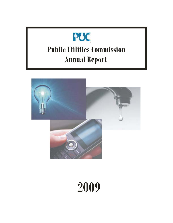



# **2009**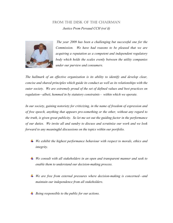# FROM THE DESK OF THE CHAIRMAN *Justice Prem Persaud CCH (ret'd)*



 *The year 2009 has been a challenging but successful one for the Commission. We have had reasons to be pleased that we are acquiring a reputation as a competent and independent regulatory body which holds the scales evenly between the utility companies under our purview and consumers.* 

*The hallmark of an effective organization is its ability to identify and develop clear, concise and shared principles which guide its conduct as well as its relationships with the outer society. We are extremely proud of the set of defined values and best practices on regulation—albeit, hemmed in by statutory constraints - within which we operate.* 

*In our society, gaining notoriety for criticizing, in the name of freedom of expression and of free speech, anything that appears pro-something or the other, without any regard to the truth, is given great publicity. So let me set out the guiding factor in the performance of our duties. We invite all and sundry to discuss and scrutinize our work and we look forward to any meaningful discussions on the topics within our portfolio.* 

- *We exhibit the highest performance behaviour with respect to morals, ethics and integrity.*
- *We consult with all stakeholders in an open and transparent manner and seek to enable them to understand our decision-making process.*
- *We are free from external pressures where decision-making is concerned—and maintain our independence from all stakeholders.*
- *Being responsible to the public for our actions.*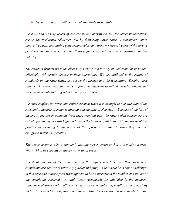*Using resources as efficiently and effectively as possible.* 

*We have had varying levels of success in our operations, but the telecommunications sector has performed relatively well by delivering lower rates to consumers—more innovative packages, cutting edge technologies, and greater responsiveness of the service providers to consumers. A contributory factor is that there is competition in this industry.* 

*The statutory framework in the electricity sector provides very limited room for us to deal effectively with certain aspects of their operations. We are inhibited in the setting of standards or the rates which are set by the licence and the legislation. Despite these setbacks, however, we found ways to force management to rethink certain policies and we have been able to bring relief to many a customer.* 

*We must confess, however, our embarrassment when it is brought to our attention of the substantial number of meter tampering and stealing of electricity. Because of the loss of income to the power company from these criminal acts, the rates which consumers are called upon to pay are still high, and it is in the interest of all to assist in the arrest of this practice by bringing to the notice of the appropriate authority when they see this egregious system in operation.* 

*The water sector is also a monopoly like the power company, but it is making a great effort within its capacity to supply water to all areas.* 

*A critical function of the Commission is the requirement to ensure that consumers' complaints are dealt with relatively quickly and fairly. There have been some challenges in this area and it arose from what appears to be an increase in the number and nature of the complaints received. A vital factor responsible for this also is the apparent reluctance of some senior officers of the utility companies, especially in the electricity sector, to respond to complaints or requests from the Commission in a timely fashion.*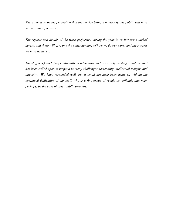*There seems to be the perception that the service being a monopoly, the public will have to await their pleasure.* 

*The reports and details of the work performed during the year in review are attached hereto, and these will give one the understanding of how we do our work, and the success we have achieved.* 

*The staff has found itself continually in interesting and invariably exciting situations and has been called upon to respond to many challenges demanding intellectual insights and*  integrity. We have responded well, but it could not have been achieved without the *continued dedication of our staff, who is a fine group of regulatory officials that may, perhaps, be the envy of other public servants.*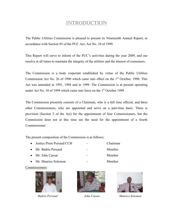# INTRODUCTION

The Public Utilities Commission is pleased to present its Nineteenth Annual Report, in accordance with Section 85 of the PUC Act, Act No. 10 of 1999.

This Report will serve to inform of the PUC's activities during the year 2009, and our resolve at all times to maintain the integrity of the utilities and the interest of consumers.

The Commission is a body corporate established by virtue of the Public Utilities Commission Act No. 26 of 1990 which came into effect on the 1<sup>st</sup> October, 1990. This Act was amended in 1991, 1994 and in 1999. The Commission is at present operating under Act No. 10 of 1999 which came into force on the  $1<sup>st</sup>$  October 1999.

The Commission presently consists of a Chairman, who is a full time official, and three other Commissioners, who are appointed and serve on a part-time basis. There is provision (Section 5 of the Act) for the appointment of four Commissioners, but the Commission does not at this time see the need for the appointment of a fourth Commissioner.

The present composition of the Commission is as follows:

- Justice Prem Persaud CCH Chairman
- Mr. Badrie Persaud Member
- Mr. John Caesar Member
- Mr. Maurice Solomon Member

Commissioners:







 *Badrie Persaud John Caesar Maurice Solomon*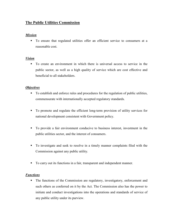# **The Public Utilities Commission**

#### *Mission*

 To ensure that regulated utilities offer an efficient service to consumers at a reasonable cost.

#### *Vision*

 To create an environment in which there is universal access to service in the public sector, as well as a high quality of service which are cost effective and beneficial to all stakeholders.

#### *Objectives*

- To establish and enforce rules and procedures for the regulation of public utilities, commensurate with internationally accepted regulatory standards.
- To promote and regulate the efficient long-term provision of utility services for national development consistent with Government policy.
- To provide a fair environment conducive to business interest, investment in the public utilities sector, and the interest of consumers.
- To investigate and seek to resolve in a timely manner complaints filed with the Commission against any public utility.
- To carry out its functions in a fair, transparent and independent manner.

#### *Functions*

• The functions of the Commission are regulatory, investigatory, enforcement and such others as conferred on it by the Act. The Commission also has the power to initiate and conduct investigations into the operations and standards of service of any public utility under its purview.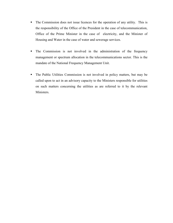- The Commission does not issue licences for the operation of any utility. This is the responsibility of the Office of the President in the case of telecommunication, Office of the Prime Minister in the case of electricity, and the Minister of Housing and Water in the case of water and sewerage services.
- **The Commission is not involved in the administration of the frequency** management or spectrum allocation in the telecommunications sector. This is the mandate of the National Frequency Management Unit.
- The Public Utilities Commission is not involved in policy matters, but may be called upon to act in an advisory capacity to the Ministers responsible for utilities on such matters concerning the utilities as are referred to it by the relevant Ministers.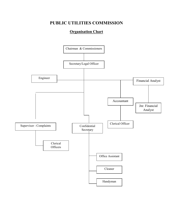# **PUBLIC UTILITIES COMMISSION**

# **Organisation Chart**

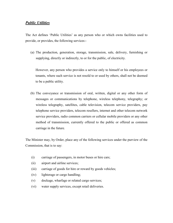#### *Public Utilities*

The Act defines 'Public Utilities' as any person who or which owns facilities used to provide, or provides, the following services:-

(a) The production, generation, storage, transmission, sale, delivery, furnishing or supplying, directly or indirectly, to or for the public, of electricity.

However, any person who provides a service only to himself or his employees or tenants, where such service is not resold to or used by others, shall not be deemed to be a public utility.

(b) The conveyance or transmission of oral, written, digital or any other form of messages or communications by telephone, wireless telephony, telegraphy; or wireless telegraphy, satellites, cable television, telecom service providers, pay telephone service providers, telecom resellers, internet and other telecom network service providers, radio common carriers or cellular mobile providers or any other method of transmission, currently offered to the public or offered as common carriage in the future.

The Minister may, by Order, place any of the following services under the purview of the Commission, that is to say:

- (i) carriage of passengers, in motor buses or hire cars;
- (ii) airport and airline services;
- (iii) carriage of goods for hire or reward by goods vehicles;
- (iv) lighterage or cargo handling;
- (v) dockage, wharfage or related cargo services;
- (vi) water supply services, except retail deliveries.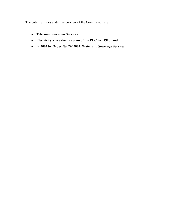The public utilities under the purview of the Commission are:

- **Telecommunication Services**
- **Electricity, since the inception of the PUC Act 1990; and**
- **In 2003 by Order No. 26/ 2003, Water and Sewerage Services.**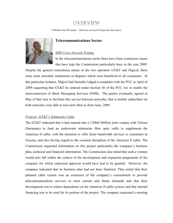# OVERVIEW

*Vidiahar Ian Persaud – Attorney-at-Law/Corporate Secretary* 

#### **Telecommunications Sector**



#### *SMS Cross Network Texting*

In the telecommunications sector there have been continuous issues that have kept the Commission particularly busy in the year 2009.

Despite the general contentious nature of the two operators GT&T and Digicel, there were some amicable settlements of disputes which were beneficial to all consumers. In this particular instance, Digicel had formally lodged a complaint with the PUC in April of 2009 requesting that GT&T be ordered under Section 36 of the PUC Act to enable the interconnection of Short Messaging Services (SMS). The parties eventually agreed in May of that year to facilitate this service between networks, that is mobile subscribers on both networks were able to text each other as from June, 2009.

#### *Projects: GT&T's Submarine Cable*

The GT&T indicated that it had entered into a US\$60 Million joint venture with Telesur (Suriname) to fund an underwater submarine fibre optic cable to supplement the Americas II cable, with the intention to offer faster bandwidth services to consumers in Guyana, and also having regard to the constant disruption of the Americas ll cable. The Commission requested information on this project particularly the company's business plan, technical and financial information. The Commission also noted that such a venture would also fall within the context of the development and expansion programme of the company for which expressed approval would have had to be granted. However, the company indicated that its business plan had not been finalized. They noted that their planned cable system was an extension of the company's commitment to provide telecommunications services to meet current and future demands and that their development was to reduce dependence on the Americas II cable system, and that internal financing was to be used for its portion of the project. The company requested a meeting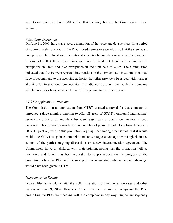with Commission in June 2009 and at that meeting, briefed the Commission of the venture.

#### *Fibre Optic Disruption*

On June 11, 2009 there was a severe disruption of the voice and data services for a period of approximately four hours. The PUC issued a press release advising that the significant disruptions to both local and international voice traffic and data were severely disrupted. It also noted that these disruptions were not isolated but there were a number of disruptions in 2008 and five disruptions in the first half of 2009. The Commission indicated that if there were repeated interruptions in the service that the Commission may have to recommend to the licencing authority that other providers be issued with licences allowing for international connectivity. This did not go down well with the company which through its lawyers wrote to the PUC objecting to the press release.

#### *GT&T's Application – Promotion*

The Commission on an application from GT&T granted approval for that company to introduce a three-month promotion to offer all users of GT&T's outbound international service inclusive of all mobile subscribers, significant discounts on the international outgoing. This promotion was based on a number of plans. It took effect from January 1, 2009. Digicel objected to this promotion, arguing, that among other issues, that it would enable the GT&T to gain commercial and or strategic advantage over Digicel, in the context of the parties on-going discussions on a new interconnection agreement. The Commission, however, differed with their opinion, noting that the promotion will be monitored and GT&T has been requested to supply reports on the progress of the promotion, when the PUC will be in a position to ascertain whether undue advantage would have been given to GT&T.

#### *Interconnection Dispute*

Digicel filed a complaint with the PUC in relation to interconnection rates and other matters on June 9, 2009. However, GT&T obtained an injunction against the PUC prohibiting the PUC from dealing with the complaint in any way. Digicel subsequently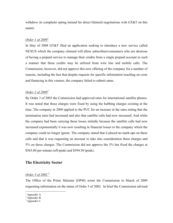withdrew its complaint opting instead for direct bilateral negotiations with GT&T on this matter.

#### *Order 1 of 2009<sup>1</sup>*

In May of 2008 GT&T filed an application seeking to introduce a new service called NEXUS which the company claimed will allow subscribers/consumers who are desirous of having a prepaid service to manage their credits from a single prepaid account in such a manner that these credits may be utilized from wire line and mobile calls. The Commission, however, did not approve this new offering of the company for a number of reasons, including the fact that despite requests for specific information touching on costs and financing in this venture, the company failed to submit same.

#### *Order 2 of 2009<sup>2</sup>*

By Order 3 of 2003 the Commission had approved rates for international satellite phones. It was noted that these charges were fixed by using the hubbing charges existing at the time. The company in 2009 applied to the PUC for an increase in the rates noting that the termination rates had increased and also that satellite calls had now increased. And while the company had been carrying those losses initially because the satellite calls had now increased exponentially it was now resulting in financial losses to the company which the company could no longer ignore. The company stated that it placed no mark-ups on these calls and that it was requesting an increase to take into consideration these charges and 5% on those charges. The Commission did not approve the 5% but fixed the charges at \$565.00 per minute (off-peak) and \$594.50 (peak).

#### **The Electricity Sector**

#### *Order 3 of 2002 <sup>3</sup>*

The Office of the Prime Minister (OPM) wrote the Commission in March of 2009 requesting information on the status of Order 3 of 2002. In brief the Commission advised

 $\frac{1}{1}$  Appendix A

 $2$  Appendix B

<sup>3</sup> Appendix C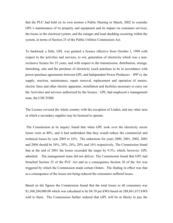that the PUC had held on its own motion a Public Hearing in March, 2002 to consider GPL's maintenance of its property and equipment and its impact on consumer services; the losses in the electrical system, and the outages and load shedding occurring within the system, in terms of Section 25 of the Public Utilities Commission Act.

To backtrack a little, GPL was granted a licence effective from October l, 1999 with respect to the activities and services, to wit, generation of electricity which was a nonexclusive licence for 25 years, and with respect to the transmission, distribution, storage, furnishing, sale and the purchase of electricity (such purchase to be in accordance with power purchase agreements between GPL and Independent Power Producers – IPP's), the supply, erection, maintenance, repair removal, replacement and operation of meters, electric lines and other electric apparatus, installation and facilities necessary to carry out the Activities and services authorized by the licence: GPL had employed a management tram, the CDC/ESBI

The Licence covered the whole country with the exception of Linden, and any other area in which a secondary supplier may be licensed to operate.

 The Commission at its inquiry found that when GPL took over the electricity sector losses were at 40%, and it had undertaken that they would reduce the commercial and technical losses by year 2005 to 16%. The reductions for years 2000, 2001, 2002, 2003 and 2004 should be 34%, 29%, 24%, 20% and 16% respectively. The Commission found that at the end of 2001 the losses exceeded the target by 9.3%, which, however, GPL admitted. The management team did not deliver. The Commission found that GPL had breached Section 25 of the PUC Act and as a consequence Section 26 of the Act was triggered by which the Commission made certain Orders. The finding in effect was that as a consequence of the losses not being reduced the consumers suffered losses.

Based on the figures the Commission found that the total losses to all consumers was \$1,368,284,000.00 which was calculated to be \$4.70 per kWh based on 288,861,672 kWh sold to them. The Commission further ordered that GPL will be at liberty to pay the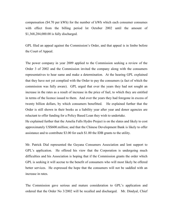compensation (\$4.70 per kWh) for the number of kWh which each consumer consumes with effect from the billing period lst October 2002 until the amount of \$1,368,284,000.00 is fully discharged.

GPL filed an appeal against the Commission's Order, and that appeal is in limbo before the Court of Appeal.

The power company in year 2009 applied to the Commission seeking a review of the Order 3 of 2002 and the Commission invited the company along with the consumers representatives to hear same and make a determination. At the hearing GPL explained that they have not yet complied with the Order to pay the consumers (a fact of which the commission was fully aware). GPL urged that over the years they had not sought an increase in the rates as a result of increase in the price of fuel, to which they are entitled in terms of the licence issued to them. And over the years they had foregone in excess of twenty billion dollars, by which consumers benefitted. He explained further that the Order is still shown in their books as a liability year after year and donor agencies are reluctant to offer funding for a Policy Based Loan they wish to undertake.

He explained further that the Amelia Falls Hydro Project is on the slates and likely to cost approximately US\$600.million; and that the Chinese Development Bank is likely to offer assistance and to contribute \$3.00 for each \$1.00 the IDB grants to the utility.

Mr. Patrick Dial represented the Guyana Consumers Association and lent support to GPL's application. He offered his view that the Corporation is undergoing much difficulties and his Association is hoping that if the Commission grants the order which GPL is seeking it will accrue to the benefit of consumers who will most likely be offered better services. He expressed the hope that the consumers will not be saddled with an increase in rates.

The Commission gave serious and mature consideration to GPL's application and ordered that the Order No 3/2002 will be recalled and discharged. Mr. Dindyal, Chief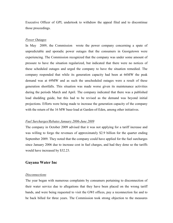Executive Officer of GPL undertook to withdraw the appeal filed and to discontinue those proceedings.

#### *Power Outages*

In May 2009, the Commission wrote the power company concerning a spate of unpredictable and sporadic power outages that the consumers in Georgetown were experiencing. The Commission recognized that the company was under some amount of pressure to have the situation regularized, but indicated that there were no notices of these scheduled outages and urged the company to have the situation remedied. The company responded that while its generation capacity had been at 66MW the peak demand was at 69MW and as such the unscheduled outages were a result of these generation shortfalls. This situation was made worse given its maintenance activities during the periods March and April. The company indicated that there was a published load shedding guide, but this had to be revised as the demand was beyond initial projections. Efforts were being made to increase the generation capacity of the company with the return of the 16 MW base-load at Garden-of-Eden, among other initiatives.

#### *Fuel Surcharges/Rebates January 2006-June 2009*

The company in October 2009 advised that it was not applying for a tariff increase and was willing to forgo the revenues of approximately \$2.9 billion for the quarter ending September 2009. They noted that the company could have applied for the fuel surcharges since January 2006 due to increase cost in fuel charges, and had they done so the tariffs would have increased by \$32.23.

#### **Guyana Water Inc**

#### *Disconnections*

The year began with numerous complaints by consumers pertaining to disconnection of their water service due to allegations that they have been placed on the wrong tariff bands, and were being requested to visit the GWI offices, pay a reconnection fee and to be back billed for three years. The Commission took strong objection to the measures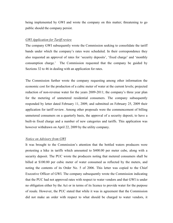being implemented by GWI and wrote the company on this matter; threatening to go public should the company persist.

#### *GWI Application for Tariff review*

The company GWI subsequently wrote the Commission seeking to consolidate the tariff bands under which the company's rates were scheduled. In their correspondence they also requested an approval of rates for 'security deposits', 'fixed charge' and 'monthly consumption charge.' The Commission requested that the company be guided by Sections 32 to 46 in dealing with an application for rates.

The Commission further wrote the company requesting among other information the economic cost for the production of a cubic meter of water at the current levels; projected reduction of non-revenue water for the years 2009-2011; the company's three year plan for the metering of unmetered residential consumers. The company subsequently responded by letter dated February 11, 2009, and submitted on February 25, 2009 their application for tariff review. Among other proposals were the commencement of billing unmetered consumers on a quarterly basis, the approval of a security deposit, to have a built-in fixed charge and a number of new categories and tariffs. This application was however withdrawn on April 22, 2009 by the utility company.

#### *Notice on Advisory from GWI*

It was brought to the Commission's attention that the bottled waters producers were protesting a hike in tariffs which amounted to \$400.00 per meter cube, along with a security deposit. The PUC wrote the producers noting that metered consumers shall be billed at \$100.80 per cubic meter of water consumed as reflected by the meters, and noting the contents of its Order No. 5 of 2006. This letter was copied to the Chief Executive Officer of GWI. The company subsequently wrote the Commission indicating that the PUC had not approved rates with respect to water vendors and that GWI is under no obligation either by the Act or in terms of its licence to provide water for the purpose of resale. However, the PUC stated that while it was in agreement that the Commission did not make an order with respect to what should be charged to water vendors, it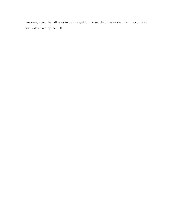however, noted that all rates to be charged for the supply of water shall be in accordance with rates fixed by the PUC.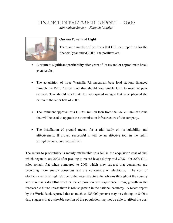# FINANCE DEPARTMENT REPORT – 2009 *Moorsalene Sankar – Financial Analyst*



#### **Guyana Power and Light**

There are a number of positives that GPL can report on for the financial year ended 2009. The positives are:

- A return to significant profitability after years of losses and or approximate break even results.
- The acquisition of three Wartsilla 7.8 megawatt base load stations financed through the Petro Caribe fund that should now enable GPL to meet its peak demand. This should ameliorate the widespread outages that have plagued the nation in the latter half of 2009.
- The imminent approval of a USD40 million loan from the EXIM Bank of China that will be used to upgrade the transmission infrastructure of the company.
- The installation of prepaid meters for a trial study on its suitability and effectiveness. If proved successful it will be an effective tool in the uphill struggle against commercial theft.

The return to profitability is mainly attributable to a fall in the acquisition cost of fuel which began in late 2008 after peaking to record levels during mid 2008. For 2009 GPL sales remain flat when compared to 2008 which may suggest that consumers are becoming more energy conscious and are conserving on electricity. The cost of electricity remains high relative to the wage structure that obtains throughout the country and it remains doubtful whether the corporation will experience strong growth in the foreseeable future unless there is robust growth in the national economy. A recent report by the World Bank reported that as much as 125,000 persons may be existing on \$400 a day, suggests that a sizeable section of the population may not be able to afford the cost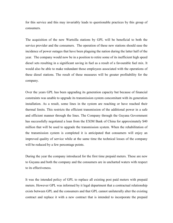for this service and this may invariably leads to questionable practices by this group of consumers.

The acquisition of the new Wartsilla stations by GPL will be beneficial to both the service provider and the consumers. The operation of these new stations should ease the incidence of power outages that have been plaguing the nation during the latter half of the year. The company would now be in a position to retire some of its inefficient high speed diesel sets resulting in a significant saving in fuel as a result of a favourable fuel mix. It would also be able to make redundant those employees associated with the operations of these diesel stations. The result of these measures will be greater profitability for the company.

Over the years GPL has been upgrading its generation capacity but because of financial constraints was unable to upgrade its transmission system concomitant with its generation installation. As a result, some lines in the system are reaching or have reached their thermal limits. This restricts the efficient transmission of the additional power in a safe and efficient manner through the lines. The Company through the Guyana Government has successfully negotiated a loan from the EXIM Bank of China for approximately \$40 million that will be used to upgrade the transmission system. When the rehabilitation of the transmission system is completed it is anticipated that consumers will enjoy an improved quality of service while at the same time the technical losses of the company will be reduced by a few percentage points.

During the year the company introduced for the first time prepaid meters. These are new to Guyana and both the company and the consumers are in uncharted waters with respect to its effectiveness.

It was the intended policy of GPL to replace all existing post paid meters with prepaid meters. However GPL was informed by it legal department that a contractual relationship exists between GPL and the consumers and that GPL cannot unilaterally alter the existing contract and replace it with a new contract that is intended to incorporate the prepaid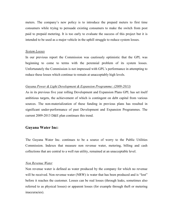meters. The company's new policy is to introduce the prepaid meters to first time consumers while trying to persuade existing consumers to make the switch from post paid to prepaid metering. It is too early to evaluate the success of this project but it is intended to be used as a major vehicle in the uphill struggle to reduce system losses.

#### *System Losses*

In our previous report the Commission was cautiously optimistic that the GPL was beginning to come to terms with the perennial problem of its system losses. Unfortunately the Commission is not impressed with GPL's performance in attempting to reduce these losses which continue to remain at unacceptably high levels.

#### *Guyana Power & Light Development & Expansion Programme: (2009-2013)*

As in its previous five year rolling Development and Expansion Plans GPL has set itself ambitious targets, the achievement of which is contingent on debt capital from various sources. The non-materialization of these funding in previous plans has resulted in significant under-performance of past Development and Expansion Programmes. The current 2009-2013 D&E plan continues this trend.

#### **Guyana Water Inc:**

The Guyana Water Inc. continues to be a source of worry to the Public Utilities Commission. Indexes that measure non revenue water, metering, billing and cash collections that are central to a well run utility, remained at an unacceptable level.

#### *Non Revenue Water*

Non revenue water is defined as water produced by the company for which no revenue will be received. Non revenue water (NRW) is water that has been produced and is "lost" before it reaches the customer. Losses can be real losses (through leaks, sometimes also referred to as physical losses) or apparent losses (for example through theft or metering inaccuracies).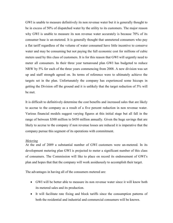GWI is unable to measure definitively its non revenue water but it is generally thought to be in excess of 50% of dispatched water by the utility to its customers. The major reason why GWI is unable to measure its non revenue water accurately is because 70% of its consumer base is un-metered. It is generally thought that unmetered consumers who pay a flat tariff regardless of the volume of water consumed have little incentive to conserve water and may be consuming but not paying the full economic cost for millions of cubic meters used by this class of customers. It is for this reason that GWI will urgently need to meter all consumers. In their three year turnaround plan GWI has budgeted to reduce NRW by 5% for each of the three years commencing from 2008. A new division was set up and staff strength agreed on. Its terms of reference were to ultimately achieve the targets set in the plan. Unfortunately the company has experienced some hiccups in getting the Division off the ground and it is unlikely that the target reduction of 5% will be met.

It is difficult to definitively determine the cost benefits and increased sales that are likely to accrue to the company as a result of a five percent reduction in non revenue water. Various financial models suggest varying figures at this initial stage but all fall in the range of between \$300 million to \$450 million annually. Given the huge savings that are likely to accrue to the company if non revenue losses are reduced it is imperative that the company pursue this segment of its operations with commitment.

#### *Metering*

At the end of 2009 a substantial number of GWI customers were un-metered. In its development metering plan GWI is projected to meter a significant number of this class of consumers. The Commission will like to place on record its endorsement of GWI's plan and hopes that that the company will work assiduously to accomplish their target.

The advantages in having all of the consumers metered are:

- GWI will be better able to measure its non revenue water since it will know both its metered sales and its production.
- It will facilitate rate fixing and block tariffs since the consumption patterns of both the residential and industrial and commercial consumers will be known.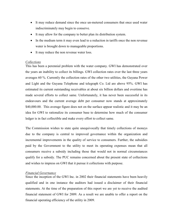- It may reduce demand since the once un-metered consumers that once used water indiscriminately may begin to conserve.
- It may allow for the company to better plan its distribution system.
- In the medium term it may even lead to a reduction in tariffs once the non revenue water is brought down to manageable proportions.
- It may reduce the non revenue water loss.

#### *Collections*

This has been a perennial problem with the water company. GWI has demonstrated over the years an inability to collect its billings. GWI collection rates over the last three years averages 60 %. Currently the collection rates of the other two utilities, the Guyana Power and Light and the Guyana Telephone and telegraph Co. Ltd are above 95%. GWI has estimated its current outstanding receivables at about six billion dollars and overtime has made several efforts to collect same. Unfortunately, it has never been successful in its endeavours and the current average debt per consumer now stands at approximately \$40,000.00. This average figure does not on the surface appear realistic and it may be an idea for GWI to rationalize its consumer base to determine how much of the consumer ledger is in fact collectible and make every effort to collect same.

The Commission wishes to state quite unequivocally that timely collections of moneys due to the company is central to improved governance within the organization and incremental improvements in the quality of service to consumers. Further, the subsidies paid by the Government to the utility to meet its operating expenses mean that all consumers receive a subsidy including those that would not in normal circumstances qualify for a subsidy. The PUC remains concerned about the present state of collections and wishes to impress on GWI that it pursue it collections with purpose.

#### *Financial Governance*

Since the inception of the GWI Inc. in 2002 their financial statements have been heavily qualified and in one instance the auditors had issued a disclaimer of their financial statements. At the time of the preparation of this report we are yet to receive the audited financial statement of GWI for 2009. As a result we are unable to offer a report on the financial operating efficiency of the utility in 2009.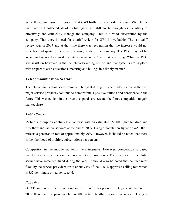What the Commission can posit is that GWI badly needs a tariff increase. GWI claims that even if it collected all of its billings it will still not be enough for the utility to effectively and efficiently manage the company. This is a valid observation by the company. That there is need for a tariff review for GWI is irrefutable. The last tariff review was in 2005 and at that time there was recognition that the increase would not have been adequate to meet the operating needs of the company. The PUC may not be averse to favourably consider a rate increase once GWI makes a filing. What the PUC will insist on however, is that benchmarks are agreed on and that systems are in place with respect to cash collections, metering and billings in a timely manner.

#### **Telecommunication Sector:**

The telecommunication sector remained buoyant during the year under review as the two major service providers continue to demonstrate a positive outlook and confidence in the future. This was evident in the drive to expand services and the fierce competition to gain market share.

#### *Mobile Segment*

Mobile subscription continues to increase with an estimated 550,000 (five hundred and fifty thousand) active services at the end of 2009. Using a population figure of 765,000 it reflects a penetration rate of approximately 70%. However, it should be noted that there is the likelihood of multiple subscriptions per person.

Competition in the mobile market is very intensive. However, competition is based mainly on non priced factors such as a variety of promotions. The retail prices for cellular service have remained fixed during the year. It should also be noted that cellular rates fixed by the service providers are at about 75% of the PUC's approved ceiling rate which is \$32 per minute billed per second.

#### *Fixed line*

GT&T continues to be the only operator of fixed lines phones in Guyana. At the end of 2009 there were approximately 147,000 active landline phones in service. Using a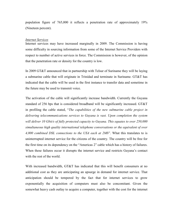population figure of 765,000 it reflects a penetration rate of approximately 19% (Nineteen percent).

#### *Internet Services*

Internet services may have increased marginally in 2009. The Commission is having some difficulty in sourcing information from some of the Internet Service Providers with respect to number of active services in force. The Commission is however, of the opinion that the penetration rate or density for the country is low.

In 2009 GT&T announced that in partnership with Telsur of Suriname they will be laying a submarine cable that will originate in Trinidad and terminate in Suriname. GT&T has indicated that the cable will be used in the first instance to transfer data and sometime in the future may be used to transmit voice.

The activation of the cable will significantly increase bandwidth. Currently the Guyana standard of 256 bps that is considered broadband will be significantly increased. GT&T in profiling the cable stated, "*The capabilities of the new submarine cable project in delivering telecommunications services to Guyana is vast. Upon completion the system will deliver 10 Gbit/s of fully protected capacity to Guyana. This equates to over 250,000 simultaneous high quality international telephone conversations or the equivalent of over 4,000 combined DSL connections to the USA each at 2Mb*". What this translates to is uninterrupted internet service for the citizens of the country. The country will be free for the first time on its dependency on the "Americas 2" cable which has a history of failures. When these failures occur it disrupts the internet service and restricts Guyana's contact with the rest of the world.

With increased bandwidth, GT&T has indicated that this will benefit consumers at no additional cost as they are anticipating an upsurge in demand for internet service. That anticipation should be tempered by the fact that for internet services to grow exponentially the acquisition of computers must also be concomitant. Given the somewhat heavy cash outlay to acquire a computer, together with the cost for the internet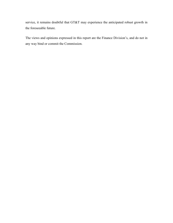service, it remains doubtful that GT&T may experience the anticipated robust growth in the foreseeable future.

The views and opinions expressed in this report are the Finance Division's, and do not in any way bind or commit the Commission.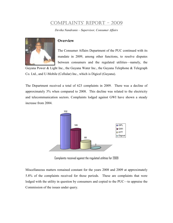# COMPLAINTS' REPORT - COMPLAINTS' REPORT -2009

*Devika Nandranie – Supervisor, Consumer Affairs* 



### **Overview**

The Consumer Affairs Department of the PUC continued with its mandate in 2009, among other functions, to resolve disputes between consumers and the regulated utilities—namely, the

Guyana Power & Light Inc., the Guyana Water Inc., the Guyana Telephone & Telegraph Co. Ltd., and U-Mobile (Cellular) Inc., which is Digicel (Guyana).

The Department received a total of 623 complaints in 2009. There was a decline of approximately 3% when compared to 2008. This decline was related to the electricity and telecommunication sectors. Complaints lodged against GWI have shown a steady increase from 2004.



Complaints received against the regulated utilities for 2009

Miscellaneous matters remained constant for the years 2008 and 2009 at approximately 5.8% of the complaints received for those periods. These are complaints that were lodged with the utility in question by consumers and copied to the PUC—to appraise the Commission of the issues under query.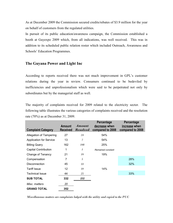As at December 2009 the Commission secured credits/rebates of \$3.9 million for the year on behalf of customers from the regulated utilities.

In pursuit of its public education/awareness campaign, the Commission established a booth at Guyexpo 2009 which, from all indications, was well received. This was in addition to its scheduled public relation roster which included Outreach, Awareness and Schools' Education Programmes.

#### **The Guyana Power and Light Inc**

According to reports received there was not much improvement in GPL's customer relations during the year in review. Consumers continued to be bedeviled by inefficiencies and unprofessionalism which were said to be perpetrated not only by subordinates but by the managerial staff as well.

The majority of complaints received for 2009 related to the electricity sector. The following table illustrates the various categories of complaints received and the resolution rate (70%) as at December 31, 2009.

| <b>Complaint Category</b>      | <b>Amount</b><br><b>Received</b> | <i>Amount</i><br><b>Resolved</b> | Percentage<br>decrease when<br>compared to 2008 | Percentage<br>increase when<br>compared to 2008 |
|--------------------------------|----------------------------------|----------------------------------|-------------------------------------------------|-------------------------------------------------|
| Allegation of Tampering        | 27                               | 24                               | 54%                                             |                                                 |
| <b>Application for Service</b> | 13                               | 7                                | 54%                                             |                                                 |
| <b>Billing Query</b>           | 162                              | 108                              | 25%                                             |                                                 |
| <b>Capital Contribution</b>    | 1                                | 1                                | Remained constant                               |                                                 |
| Change of Tenancy              | 21                               | 19                               | 19%                                             |                                                 |
| Compensation                   | 7                                | $\sqrt{5}$                       |                                                 | 28%                                             |
| <b>Disconnection</b>           | 45                               | 33                               |                                                 | 32%                                             |
| <b>Tariff Issue</b>            | $12 \overline{ }$                | 10                               | 14%                                             |                                                 |
| <b>Technical Issue</b>         | 44                               | 25                               |                                                 | 33%                                             |
| <b>SUB TOTAL</b>               | 332                              | 232                              |                                                 |                                                 |
| Misc. matters                  | 20                               |                                  |                                                 |                                                 |
| <b>GRAND TOTAL</b>             | 352                              |                                  |                                                 |                                                 |

*Miscellaneous matters are complaints lodged with the utility and copied to the PUC*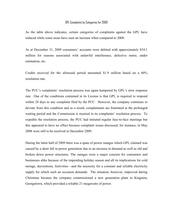#### GPL Complaints by Categories for 2009

As the table above indicates, certain categories of complaints against the GPL have reduced while some areas have seen an increase when compared to 2008.

As at December 31, 2009 consumers' accounts were debited with approximately \$34.1 million for reasons associated with unlawful interference, defective meter, under estimation, etc.

Credits received for the aforesaid period amounted \$1.9 million based on a 60% resolution rate.

The PUC's complaints' resolution process was again hampered by GPL's slow response rate. One of the conditions contained in its License is that GPL is required to respond within 28 days to any complaint filed by the PUC. However, the company continues to deviate from this condition and as a result, complainants are frustrated at the prolonged waiting period and the Commission is stymied in its complaints' resolution process. To expedite the resolution process, the PUC had initiated regular face-to-face meetings but this appeared to have no effect because complaint issues discussed, for instance, in May 2008 were still to be resolved in December 2009.

During the latter half of 2009 there was a spate of power outages which GPL claimed was caused by a short fall in power generation due to an increase in demand as well as old and broken down power structures. The outages were a major concern for consumers and businesses alike because of the impending holiday season and all its implications for cold storage, decorations, festivities—and the necessity for a constant and reliable electricity supply for which such an occasion demands. The situation, however, improved during Christmas because the company commissioned a new generation plant in Kingston, Georgetown, which provided a reliable 21 megawatts of power.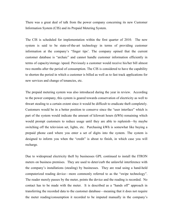There was a great deal of talk from the power company concerning its new Customer Information System (CIS) and its Prepaid Metering System.

The CIS is scheduled for implementation within the first quarter of 2010. The new system is said to be state-of-the-art technology in terms of providing customer information at the company's "finger tips'. The company opined that the current customer database is "archaic" and cannot handle customer information efficiently in terms of capacity/storage /speed. Previously a customer would receive his/her bill almost two months after the period of consumption. The CIS is considered to have the capability to shorten the period in which a customer is billed as well as to fast track applications for new services and change of tenancies, etc.

The prepaid metering system was also introduced during the year in review. According to the power company, this system is geared towards conservation of electricity as well to thwart stealing to a certain extent since it would be difficult to eradicate theft completely. Customers would be in a better position to conserve since the "user interface" which is part of the system would indicate the amount of kilowatt hours (kWh) remaining which would prompt customers to reduce usage until they are able to replenish—by maybe switching off the television set, lights, etc. Purchasing kWh is somewhat like buying a prepaid phone card where you enter a set of digits into the system. The system is designed to inform you when the "credit" is about to finish, in which case you will recharge.

Due to widespread electricity theft by businesses GPL continued to install the ITRON meters on business premises. They are used to deter/curb the unlawful interference with the company's installations (stealing) by businesses. They are read using a hand-held computerized reading device—more commonly referred to as the "swipe technology". The reader merely passes by the meter, points the device and the reading is recorded. No contact has to be made with the meter. It is described as a "hands off" approach in transferring the recorded data to the customer database—meaning that it does not require the meter reading/consumption it recorded to be imputed manually in the company's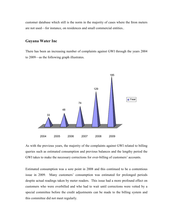customer database which still is the norm in the majority of cases where the Itron meters are not used—for instance, on residences and small commercial entities..

#### **Guyana Water Inc**

There has been an increasing number of complaints against GWI through the years 2004 to 2009—as the following graph illustrates.



As with the previous years, the majority of the complaints against GWI related to billing queries such as estimated consumption and previous balances and the lengthy period the GWI takes to make the necessary corrections for over-billing of customers' accounts.

Estimated consumption was a sore point in 2008 and this continued to be a contentious issue in 2009. Many customers' consumption was estimated for prolonged periods despite actual readings taken by meter readers. This issue had a more profound effect on customers who were overbilled and who had to wait until corrections were vetted by a special committee before the credit adjustments can be made to the billing system and this committee did not meet regularly.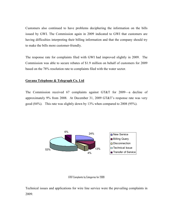Customers also continued to have problems deciphering the information on the bills issued by GWI. The Commission again in 2009 indicated to GWI that customers are having difficulties interpreting their billing information and that the company should try to make the bills more customer-friendly.

The response rate for complaints filed with GWI had improved slightly in 2009. The Commission was able to secure rebates of \$1.9 million on behalf of customers for 2009 based on the 78% resolution rate to complaints filed with the water sector.

#### **Guyana Telephone & Telegraph Co. Ltd**

The Commission received 67 complaints against GT&T for 2009—a decline of approximately 9% from 2008. At December 31, 2009 GT&T's response rate was very good (84%). This rate was slightly down by 13% when compared to 2008 (95%).



#### GT&T Complaints by Categories for 2009

Technical issues and applications for wire line service were the prevailing complaints in 2009.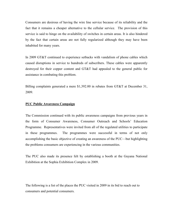Consumers are desirous of having the wire line service because of its reliability and the fact that it remains a cheaper alternative to the cellular service. The provision of this service is said to hinge on the availability of switches in certain areas. It is also hindered by the fact that certain areas are not fully regularized although they may have been inhabited for many years.

In 2009 GT&T continued to experience setbacks with vandalism of phone cables which caused disruptions in service to hundreds of subscribers. These cables were apparently destroyed for their copper content and GT&T had appealed to the general public for assistance in combating this problem.

Billing complaints generated a mere \$1,392.00 in rebates from GT&T at December 31, 2009.

#### **PUC Public Awareness Campaign**

The Commission continued with its public awareness campaigns from previous years in the form of Consumer Awareness, Consumer Outreach and Schools' Education Programme. Representatives were invited from all of the regulated utilities to participate in these programmes. The programmes were successful in terms of not only accomplishing the basic objective of creating an awareness of the PUC—but highlighting the problems consumers are experiencing in the various communities.

The PUC also made its presence felt by establishing a booth at the Guyana National Exhibition at the Sophia Exhibition Complex in 2009.

The following is a list of the places the PUC visited in 2009 in its bid to reach out to consumers and potential consumers.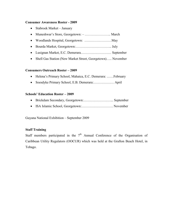#### **Consumer Awareness Roster - 2009**

- Stabroek Market January
- Muneshwar's Store, Georgetown: ………………….. March
- Woodlands Hospital, Georgetown: ……………………May
- Bourda Market, Georgetown:………………………….. July
- Lusignan Market, E.C. Demerara……………………… September
- Shell Gas Station (New Market Street, Georgetown)….. November

#### **Consumers Outreach Roster – 2009**

- Helena's Primary School, Mahaica, E.C. Demerara: ……February
- Soesdyke Primary School, E.B. Demerara:……………… April

#### **Schools' Education Roster – 2009**

- Brickdam Secondary, Georgetown:……………………... September
- ISA Islamic School, Georgetown:………………………. November

Guyana National Exhibition – September 2009

#### **Staff Training**

Staff members participated in the  $7<sup>th</sup>$  Annual Conference of the Organisation of Caribbean Utility Regulators (OOCUR) which was held at the Grafton Beach Hotel, in Tobago.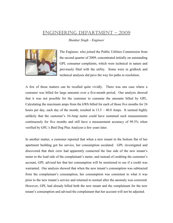# ENGINEERING DEPARTMENT - 2009

*Shankar Singh – Engineer* 



The Engineer, who joined the Public Utilities Commission from the second quarter of 2009, concentrated initially on outstanding GPL consumer complaints, which were technical in nature and previously filed with the utility. Some were in gridlock and technical analyses did pave the way for paths to resolution.

A few of those matters can be recalled quite vividly. There was one case where a customer was billed for large amounts over a five-month period. Our analysis showed that it was not possible for the customer to consume the amounts billed by GPL. Calculating the maximum amps from the kWh billed for each of those five months for 24 hours per day, each day of the month, resulted in  $13.5 - 40.0$  Amps. It seemed highly unlikely that the customer's 10-Amp meter could have sustained such measurements continuously for five months and still have a measurement accuracy of 99.3% when verified by GPL's Bird Dog Plus Analyzer a few years later.

In another matter, a customer reported that when a new tenant in the bottom flat of her apartment building got his service, her consumption escalated. GPL investigated and discovered that their crew had apparently connected the line side of the new tenant's meter to the load side of the complainant's meter, and instead of crediting the customer's account, GPL advised her that her consumption will be monitored to see if a credit was warranted. Our analysis showed that when the new tenant's consumption was subtracted from the complainant's consumption, her consumption was consistent to what it was prior to the new tenant's service and returned to normal after the anomaly was corrected. However, GPL had already billed both the new tenant and the complainant for the new tenant's consumption and advised the complainant that her account will not be adjusted.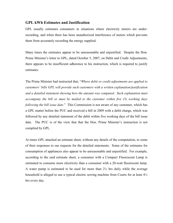#### **GPL kWh Estimates and Justification**

GPL usually estimates consumers in situations where electricity meters are underrecording, and when there has been unauthorized interference of meters which prevents them from accurately recording the energy supplied.

Many times the estimates appear to be unreasonable and unjustified. Despite the Hon. Prime Minister's letter to GPL, dated October 5, 2007, on Debit and Credit Adjustments, there appears to be insufficient adherence to his instruction, which is required to justify estimates.

The Prime Minister had instructed that, "*Where debit or credit adjustments are applied to customers' bills GPL will provide such customers with a written explanation/justification and a detailed statement showing how the amount was computed. Such explanation must accompany the bill or must be mailed to the customer within five (5) working days following the bill issue date.*" This Commission is not aware of any customer, which has a GPL matter before the PUC and received a bill in 2009 with a debit charge, which was followed by any detailed statement of the debit within five working days of the bill issue date. The PUC is of the view that that the Hon. Prime Minister's instruction is not complied by GPL.

At times GPL attached an estimate sheet, without any details of the computation, to some of their responses to our requests for the detailed statements. Some of the estimates for consumption of appliances also appear to be unreasonable and unjustified. For example, according to the said estimate sheet, a consumer with a Compact Fluorescent Lamp is estimated to consume more electricity than a consumer with a 20-watt fluorescent lamp. A water pump is estimated to be used for more than 2½ hrs daily while the average household is alleged to use a typical electric sewing machine from Courts for at least  $4\frac{1}{2}$ hrs every day.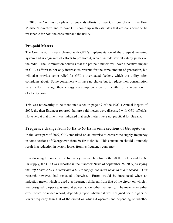In 2010 the Commission plans to renew its efforts to have GPL comply with the Hon. Minister's directive and to have GPL come up with estimates that are considered to be reasonable for both the consumer and the utility.

#### **Pre-paid Meters**

The Commission is very pleased with GPL's implementation of the pre-paid metering system and is cognizant of efforts to promote it, which include several catchy jingles on the radio. The Commission believes that the pre-paid meters will have a positive impact in GPL's efforts to not only increase its revenue for the same amount of generation, but will also provide some relief for GPL's overloaded feeders, which the utility often complains about. Some consumers will have no choice but to reduce their consumption in an effort manage their energy consumption more efficiently for a reduction in electricity costs.

This was noteworthy to be mentioned since in page 49 of the PUC's Annual Report of 2006, the then Engineer reported that pre-paid meters were discussed with GPL officials. However, at that time it was indicated that such meters were not practical for Guyana.

#### **Frequency change from 50 Hz to 60 Hz in some sections of Georgetown**

In the latter part of 2009, GPL embarked on an exercise to convert the supply frequency in some sections of Georgetown from 50 Hz to 60 Hz. This conversion should ultimately result in a reduction in system losses from its frequency converter.

In addressing the issue of the frequency mismatch between the 50 Hz meters and the 60 Hz supply, the CEO was reported in the Stabroek News of September 28, 2009, as saying that, "*If I have a 50 Hz meter and a 60 Hz supply, the meter tends to under-record*". Our research however, had revealed otherwise. Errors would be introduced when an induction meter, which is used at a frequency different from that of the circuit on which it was designed to operate, is used at power factors other than unity. The meter may either over record or under record, depending upon whether it was designed for a higher or lower frequency than that of the circuit on which it operates and depending on whether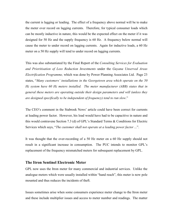the current is lagging or leading. The effect of a frequency above normal will be to make the meter over record on lagging currents. Therefore, for typical consumer loads which can be mostly inductive in nature, this would be the expected effect on the meter if it was designed for 50 Hz and the supply frequency is 60 Hz. A frequency below normal will cause the meter to under record on lagging currents. Again for inductive loads, a 60 Hz meter on a 50 Hz supply will tend to under record on lagging currents.

This was also substantiated by the Final Report of the *Consulting Services for Evaluation and Prioritisation of Loss Reduction Investments* under the *Guyana Unserved Areas Electrification Programme,* which was done by Power Planning Associates Ltd. Page 23 states, "*Many customers' installations in the Georgetown area which operate on the 50 Hz system have 60 Hz meters installed. The meter manufacturer (ABB) states that in general these meters are operating outside their design parameters and will (unless they are designed specifically to be independent of frequency) tend to run slow*."

The CEO's comment in the Stabroek News' article could have been correct for currents at leading power factor. However, his load would have had to be capacitive in nature and this would contravene Section 7.3 (d) of GPL's Standard Terms & Conditions for Electric Services which says, "*The customer shall not operate at a leading power factor* ...".

It was thought that the over-recording of a 50 Hz meter on a 60 Hz supply should not result in a significant increase in consumption. The PUC intends to monitor GPL's replacement of the frequency mismatched meters for subsequent replacement by GPL.

#### **The Itron Sentinel Electronic Meter**

GPL now uses the Itron meter for many commercial and industrial services. Unlike the analogue meters which were usually installed within "hand reach", this meter is now pole mounted and thus reduces the incidents of theft.

Issues sometimes arise when some consumers experience meter change to the Itron meter and these include multiplier issues and access to meter number and readings. The matter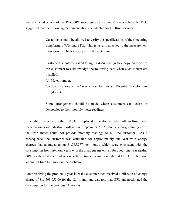was discussed at one of the PUC/GPL meetings on consumers' issues where the PUC suggested that the following recommendations be adopted for the Itron services:

- i. Customers should be allowed to verify the specifications of their metering transformers (CTs and PTs). This is usually attached to the measurement transformers which are located in the meter box.
- ii. Customers should be asked to sign a document (with a copy provided to the customer) to acknowledge the following data when such meters are installed.
	- (a) Meter number.
	- (b) Specifications of the Current Transformers and Potential Transformers (if any).
- iii. Some arrangement should be made where customers can access or acknowledge their monthly meter readings.

In another matter before the PUC, GPL replaced an analogue meter with an Itron meter for a customer on industrial tariff around September 2007. Due to a programming error, the Itron meter could not provide monthly readings to bill the customer. As a consequence, the customer was estimated for approximately one year with energy charges that averaged about \$1,765,777 per month, which were consistent with the consumption from previous years with the analogue meter. So for about one year neither GPL nor the customer had access to the actual consumption, while it took GPL the same amount of time to figure out the problem.

After resolving the problem a year later the customer then received a bill with an energy charge of \$15,598,055.00 for the  $12<sup>th</sup>$  month and was told that GPL underestimated the consumption for the previous 11 months.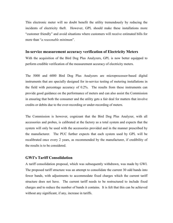This electronic meter will no doubt benefit the utility tremendously by reducing the incidents of electricity theft. However, GPL should make these installations more "customer friendly" and avoid situations where customers will receive estimated bills for more than "*a reasonable minimum*".

#### **In-service measurement accuracy verification of Electricity Meters**

With the acquisition of the Bird Dog Plus Analyzers, GPL is now better equipped to perform credible verification of the measurement accuracy of electricity meters.

The 5000 and 6000 Bird Dog Plus Analyzers are microprocessor-based digital instruments that are specially designed for in-service testing of metering installations in the field with percentage accuracy of 0.2%. The results from these instruments can provide good guidance on the performance of meters and can also assist the Commission in ensuring that both the consumer and the utility gets a fair deal for matters that involve credits or debits due to the over-recording or under-recording of meters.

The Commission is however, cognizant that the Bird Dog Plus Analyzer, with all accessories and probes, is calibrated at the factory as a total system and expects that the system will only be used with the accessories provided and in the manner prescribed by the manufacturer. The PUC further expects that each system used by GPL will be recalibrated once every 2 years, as recommended by the manufacturer, if credibility of the results is to be considered.

#### **GWI's Tariff Consolidation**

A tariff consolidation proposal, which was subsequently withdrawn, was made by GWI. The proposed tariff structure was an attempt to consolidate the current 30 odd bands into fewer bands, with adjustments to accommodate fixed charges which the current tariff structure does not have. The current tariff needs to be restructured to include fixed charges and to reduce the number of bands it contains. It is felt that this can be achieved without any significant, if any, increase in tariffs.